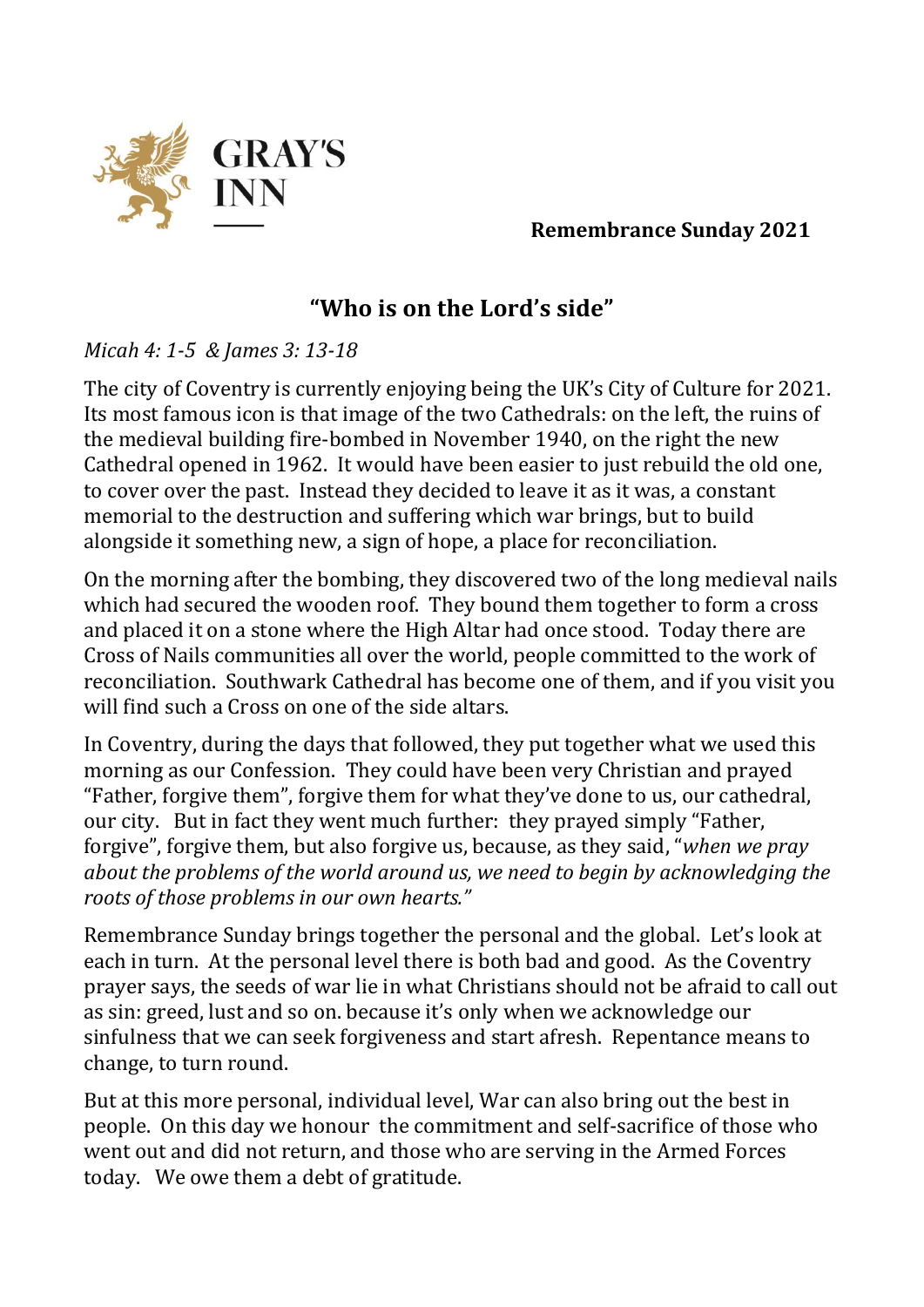

**Remembrance Sunday 2021**

## **"Who is on the Lord's side"**

## *Micah 4: 1-5 & James 3: 13-18*

The city of Coventry is currently enjoying being the UK's City of Culture for 2021. Its most famous icon is that image of the two Cathedrals: on the left, the ruins of the medieval building fire-bombed in November 1940, on the right the new Cathedral opened in 1962. It would have been easier to just rebuild the old one, to cover over the past. Instead they decided to leave it as it was, a constant memorial to the destruction and suffering which war brings, but to build alongside it something new, a sign of hope, a place for reconciliation.

On the morning after the bombing, they discovered two of the long medieval nails which had secured the wooden roof. They bound them together to form a cross and placed it on a stone where the High Altar had once stood. Today there are Cross of Nails communities all over the world, people committed to the work of reconciliation. Southwark Cathedral has become one of them, and if you visit you will find such a Cross on one of the side altars.

In Coventry, during the days that followed, they put together what we used this morning as our Confession. They could have been very Christian and prayed "Father, forgive them", forgive them for what they've done to us, our cathedral, our city. But in fact they went much further: they prayed simply "Father, forgive", forgive them, but also forgive us, because, as they said, "*when we pray about the problems of the world around us, we need to begin by acknowledging the roots of those problems in our own hearts."*

Remembrance Sunday brings together the personal and the global. Let's look at each in turn. At the personal level there is both bad and good. As the Coventry prayer says, the seeds of war lie in what Christians should not be afraid to call out as sin: greed, lust and so on. because it's only when we acknowledge our sinfulness that we can seek forgiveness and start afresh. Repentance means to change, to turn round.

But at this more personal, individual level, War can also bring out the best in people. On this day we honour the commitment and self-sacrifice of those who went out and did not return, and those who are serving in the Armed Forces today. We owe them a debt of gratitude.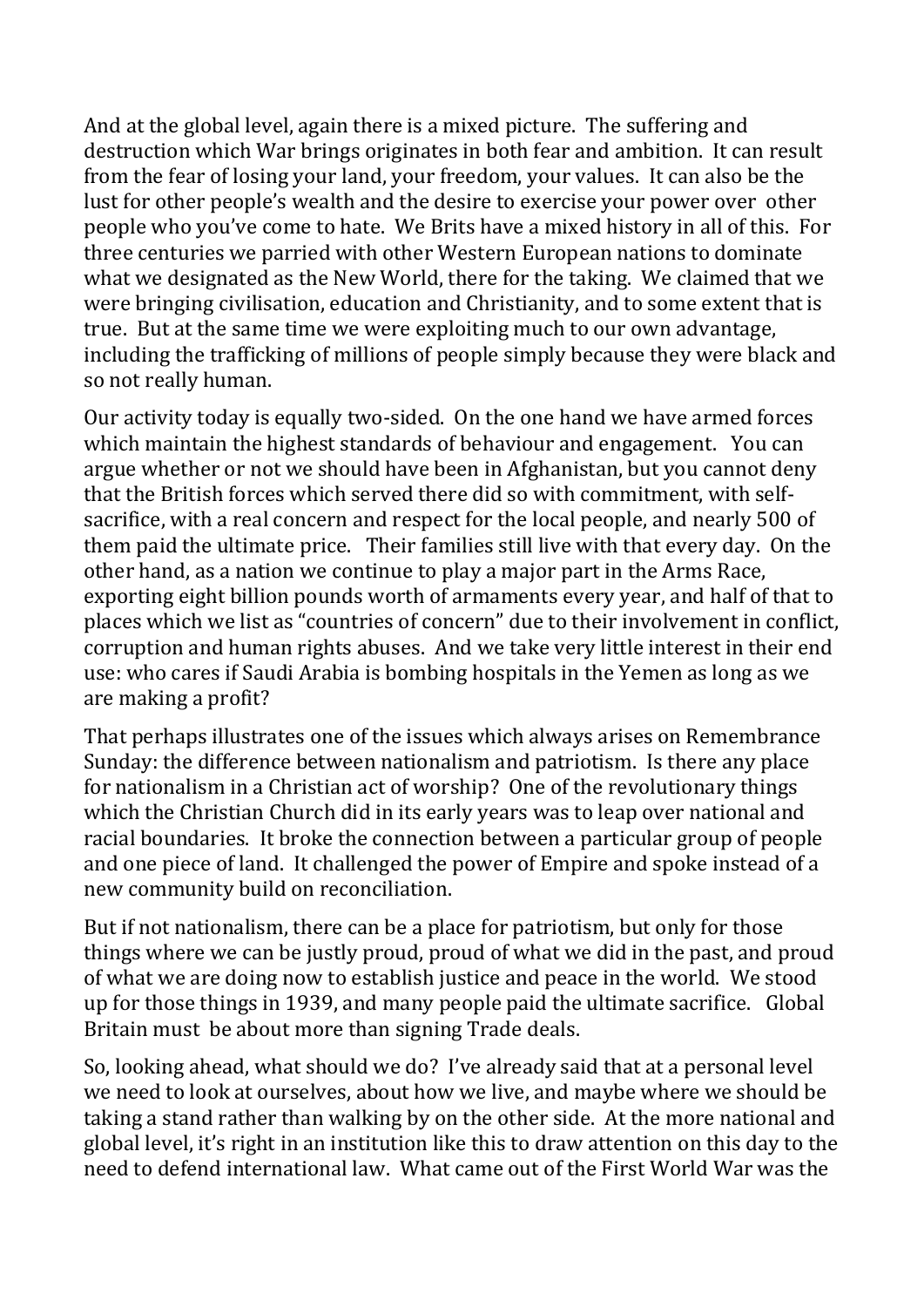And at the global level, again there is a mixed picture. The suffering and destruction which War brings originates in both fear and ambition. It can result from the fear of losing your land, your freedom, your values. It can also be the lust for other people's wealth and the desire to exercise your power over other people who you've come to hate. We Brits have a mixed history in all of this. For three centuries we parried with other Western European nations to dominate what we designated as the New World, there for the taking. We claimed that we were bringing civilisation, education and Christianity, and to some extent that is true. But at the same time we were exploiting much to our own advantage, including the trafficking of millions of people simply because they were black and so not really human.

Our activity today is equally two-sided. On the one hand we have armed forces which maintain the highest standards of behaviour and engagement. You can argue whether or not we should have been in Afghanistan, but you cannot deny that the British forces which served there did so with commitment, with selfsacrifice, with a real concern and respect for the local people, and nearly 500 of them paid the ultimate price. Their families still live with that every day. On the other hand, as a nation we continue to play a major part in the Arms Race, exporting eight billion pounds worth of armaments every year, and half of that to places which we list as "countries of concern" due to their involvement in conflict, corruption and human rights abuses. And we take very little interest in their end use: who cares if Saudi Arabia is bombing hospitals in the Yemen as long as we are making a profit?

That perhaps illustrates one of the issues which always arises on Remembrance Sunday: the difference between nationalism and patriotism. Is there any place for nationalism in a Christian act of worship? One of the revolutionary things which the Christian Church did in its early years was to leap over national and racial boundaries. It broke the connection between a particular group of people and one piece of land. It challenged the power of Empire and spoke instead of a new community build on reconciliation.

But if not nationalism, there can be a place for patriotism, but only for those things where we can be justly proud, proud of what we did in the past, and proud of what we are doing now to establish justice and peace in the world. We stood up for those things in 1939, and many people paid the ultimate sacrifice. Global Britain must be about more than signing Trade deals.

So, looking ahead, what should we do? I've already said that at a personal level we need to look at ourselves, about how we live, and maybe where we should be taking a stand rather than walking by on the other side. At the more national and global level, it's right in an institution like this to draw attention on this day to the need to defend international law. What came out of the First World War was the